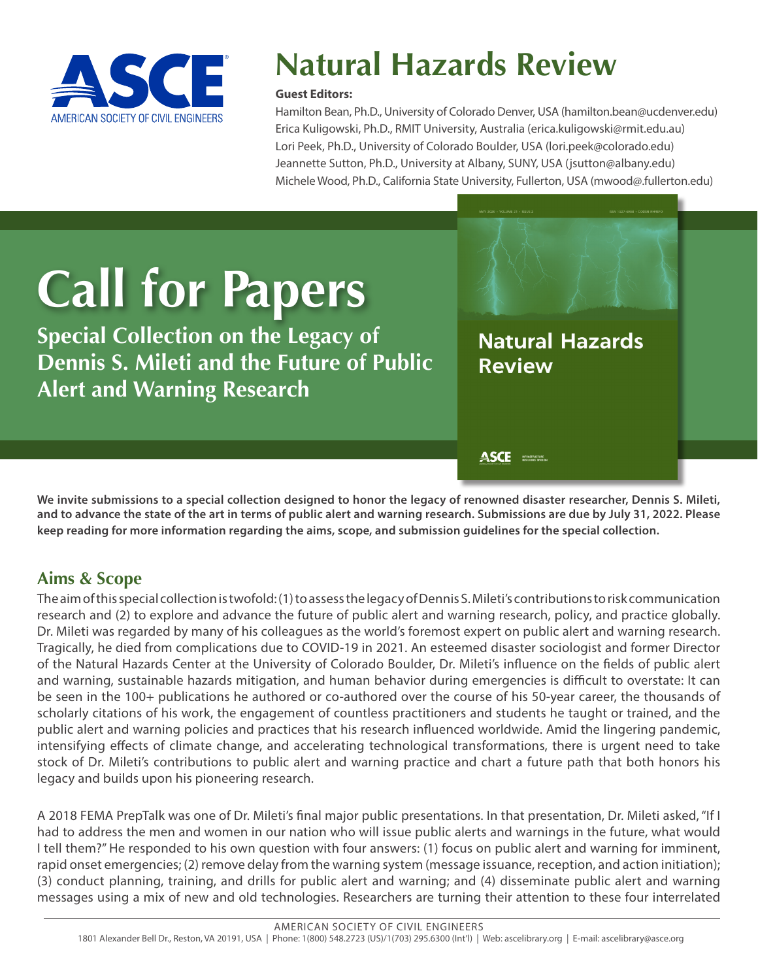

## **Natural Hazards Review**

#### **Guest Editors:**

Hamilton Bean, Ph.D., University of Colorado Denver, USA (hamilton.bean@ucdenver.edu) Erica Kuligowski, Ph.D., RMIT University, Australia (erica.kuligowski@rmit.edu.au) Lori Peek, Ph.D., University of Colorado Boulder, USA (lori.peek@colorado.edu) Jeannette Sutton, Ph.D., University at Albany, SUNY, USA (jsutton@albany.edu) Michele Wood, Ph.D., California State University, Fullerton, USA (mwood@.fullerton.edu)

# **Call for Papers**

**Special Collection on the Legacy of Dennis S. Mileti and the Future of Public Alert and Warning Research**

**Natural Hazards Review** 

ASCE **MEASURE** 

**We invite submissions to a special collection designed to honor the legacy of renowned disaster researcher, Dennis S. Mileti, and to advance the state of the art in terms of public alert and warning research. Submissions are due by July 31, 2022. Please keep reading for more information regarding the aims, scope, and submission guidelines for the special collection.**

#### **Aims & Scope**

The aim of this special collection is twofold: (1) to assess the legacy of Dennis S. Mileti's contributions to risk communication research and (2) to explore and advance the future of public alert and warning research, policy, and practice globally. Dr. Mileti was regarded by many of his colleagues as the world's foremost expert on public alert and warning research. Tragically, he died from complications due to COVID-19 in 2021. An esteemed disaster sociologist and former Director of the Natural Hazards Center at the University of Colorado Boulder, Dr. Mileti's influence on the fields of public alert and warning, sustainable hazards mitigation, and human behavior during emergencies is difficult to overstate: It can be seen in the 100+ publications he authored or co-authored over the course of his 50-year career, the thousands of scholarly citations of his work, the engagement of countless practitioners and students he taught or trained, and the public alert and warning policies and practices that his research influenced worldwide. Amid the lingering pandemic, intensifying effects of climate change, and accelerating technological transformations, there is urgent need to take stock of Dr. Mileti's contributions to public alert and warning practice and chart a future path that both honors his legacy and builds upon his pioneering research.

A 2018 FEMA PrepTalk was one of Dr. Mileti's final major public presentations. In that presentation, Dr. Mileti asked, "If I had to address the men and women in our nation who will issue public alerts and warnings in the future, what would I tell them?" He responded to his own question with four answers: (1) focus on public alert and warning for imminent, rapid onset emergencies; (2) remove delay from the warning system (message issuance, reception, and action initiation); (3) conduct planning, training, and drills for public alert and warning; and (4) disseminate public alert and warning messages using a mix of new and old technologies. Researchers are turning their attention to these four interrelated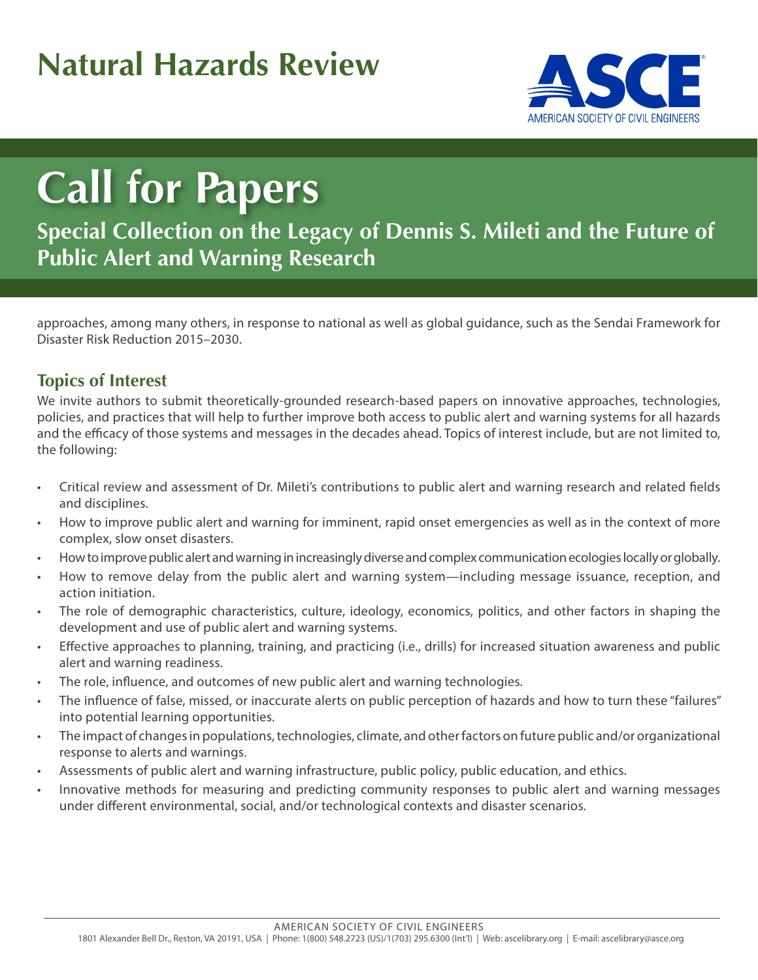### **Natural Hazards Review**



## **Call for Papers**

**Special Collection on the Legacy of Dennis S. Mileti and the Future of Public Alert and Warning Research**

approaches, among many others, in response to national as well as global guidance, such as the Sendai Framework for Disaster Risk Reduction 2015–2030.

#### **Topics of Interest**

We invite authors to submit theoretically-grounded research-based papers on innovative approaches, technologies, policies, and practices that will help to further improve both access to public alert and warning systems for all hazards and the efficacy of those systems and messages in the decades ahead. Topics of interest include, but are not limited to, the following:

- Critical review and assessment of Dr. Mileti's contributions to public alert and warning research and related fields and disciplines.
- How to improve public alert and warning for imminent, rapid onset emergencies as well as in the context of more complex, slow onset disasters.
- How to improve public alert and warning in increasingly diverse and complex communication ecologies locally or globally.
- How to remove delay from the public alert and warning system—including message issuance, reception, and action initiation.
- The role of demographic characteristics, culture, ideology, economics, politics, and other factors in shaping the development and use of public alert and warning systems.
- Effective approaches to planning, training, and practicing (i.e., drills) for increased situation awareness and public alert and warning readiness.
- The role, influence, and outcomes of new public alert and warning technologies.
- The influence of false, missed, or inaccurate alerts on public perception of hazards and how to turn these "failures" into potential learning opportunities.
- The impact of changes in populations, technologies, climate, and other factors on future public and/or organizational response to alerts and warnings.
- Assessments of public alert and warning infrastructure, public policy, public education, and ethics.
- Innovative methods for measuring and predicting community responses to public alert and warning messages under different environmental, social, and/or technological contexts and disaster scenarios.